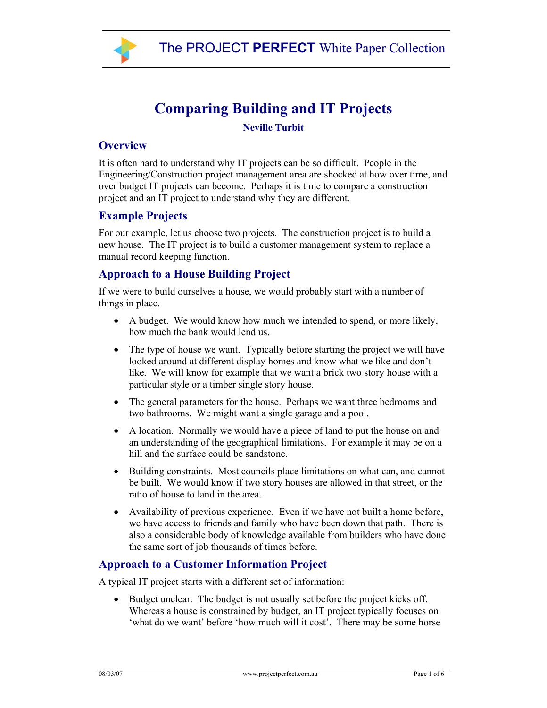

# **Comparing Building and IT Projects**

#### **Neville Turbit**

#### **Overview**

It is often hard to understand why IT projects can be so difficult. People in the Engineering/Construction project management area are shocked at how over time, and over budget IT projects can become. Perhaps it is time to compare a construction project and an IT project to understand why they are different.

#### **Example Projects**

For our example, let us choose two projects. The construction project is to build a new house. The IT project is to build a customer management system to replace a manual record keeping function.

## **Approach to a House Building Project**

If we were to build ourselves a house, we would probably start with a number of things in place.

- A budget. We would know how much we intended to spend, or more likely, how much the bank would lend us.
- The type of house we want. Typically before starting the project we will have looked around at different display homes and know what we like and don't like. We will know for example that we want a brick two story house with a particular style or a timber single story house.
- The general parameters for the house. Perhaps we want three bedrooms and two bathrooms. We might want a single garage and a pool.
- A location. Normally we would have a piece of land to put the house on and an understanding of the geographical limitations. For example it may be on a hill and the surface could be sandstone.
- Building constraints. Most councils place limitations on what can, and cannot be built. We would know if two story houses are allowed in that street, or the ratio of house to land in the area.
- Availability of previous experience. Even if we have not built a home before, we have access to friends and family who have been down that path. There is also a considerable body of knowledge available from builders who have done the same sort of job thousands of times before.

## **Approach to a Customer Information Project**

A typical IT project starts with a different set of information:

• Budget unclear. The budget is not usually set before the project kicks off. Whereas a house is constrained by budget, an IT project typically focuses on 'what do we want' before 'how much will it cost'. There may be some horse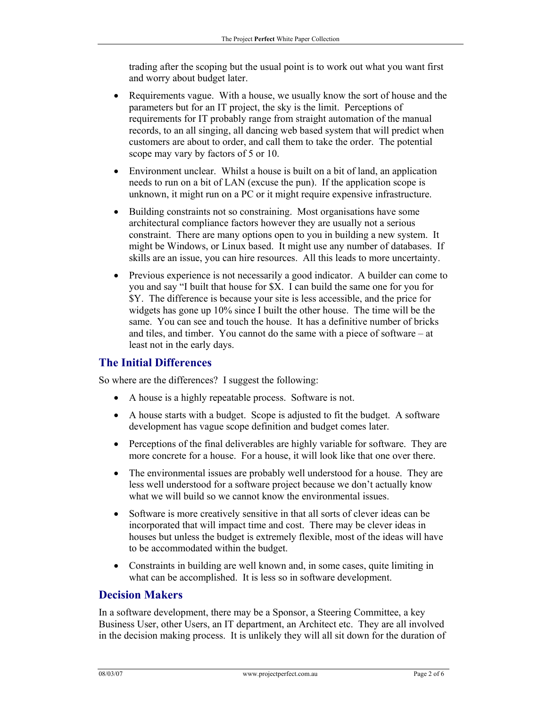trading after the scoping but the usual point is to work out what you want first and worry about budget later.

- Requirements vague. With a house, we usually know the sort of house and the parameters but for an IT project, the sky is the limit. Perceptions of requirements for IT probably range from straight automation of the manual records, to an all singing, all dancing web based system that will predict when customers are about to order, and call them to take the order. The potential scope may vary by factors of 5 or 10.
- Environment unclear. Whilst a house is built on a bit of land, an application needs to run on a bit of LAN (excuse the pun). If the application scope is unknown, it might run on a PC or it might require expensive infrastructure.
- Building constraints not so constraining. Most organisations have some architectural compliance factors however they are usually not a serious constraint. There are many options open to you in building a new system. It might be Windows, or Linux based. It might use any number of databases. If skills are an issue, you can hire resources. All this leads to more uncertainty.
- Previous experience is not necessarily a good indicator. A builder can come to you and say "I built that house for \$X. I can build the same one for you for \$Y. The difference is because your site is less accessible, and the price for widgets has gone up 10% since I built the other house. The time will be the same. You can see and touch the house. It has a definitive number of bricks and tiles, and timber. You cannot do the same with a piece of software – at least not in the early days.

## **The Initial Differences**

So where are the differences? I suggest the following:

- A house is a highly repeatable process. Software is not.
- A house starts with a budget. Scope is adjusted to fit the budget. A software development has vague scope definition and budget comes later.
- Perceptions of the final deliverables are highly variable for software. They are more concrete for a house. For a house, it will look like that one over there.
- The environmental issues are probably well understood for a house. They are less well understood for a software project because we don't actually know what we will build so we cannot know the environmental issues.
- Software is more creatively sensitive in that all sorts of clever ideas can be incorporated that will impact time and cost. There may be clever ideas in houses but unless the budget is extremely flexible, most of the ideas will have to be accommodated within the budget.
- Constraints in building are well known and, in some cases, quite limiting in what can be accomplished. It is less so in software development.

## **Decision Makers**

In a software development, there may be a Sponsor, a Steering Committee, a key Business User, other Users, an IT department, an Architect etc. They are all involved in the decision making process. It is unlikely they will all sit down for the duration of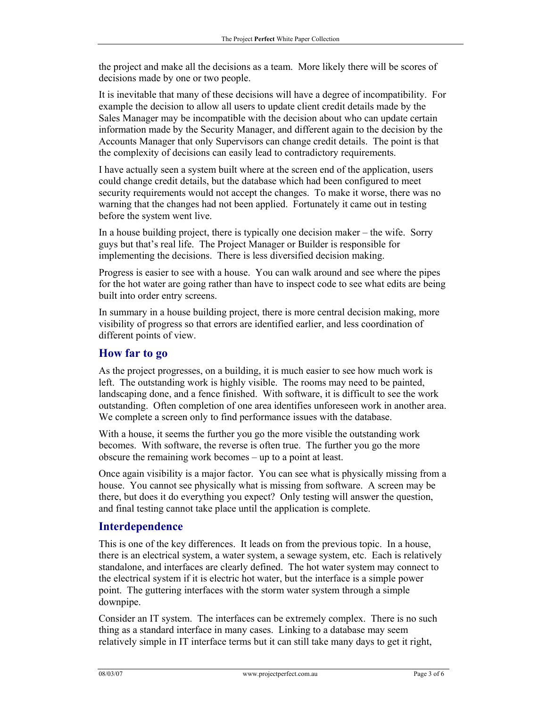the project and make all the decisions as a team. More likely there will be scores of decisions made by one or two people.

It is inevitable that many of these decisions will have a degree of incompatibility. For example the decision to allow all users to update client credit details made by the Sales Manager may be incompatible with the decision about who can update certain information made by the Security Manager, and different again to the decision by the Accounts Manager that only Supervisors can change credit details. The point is that the complexity of decisions can easily lead to contradictory requirements.

I have actually seen a system built where at the screen end of the application, users could change credit details, but the database which had been configured to meet security requirements would not accept the changes. To make it worse, there was no warning that the changes had not been applied. Fortunately it came out in testing before the system went live.

In a house building project, there is typically one decision maker – the wife. Sorry guys but that's real life. The Project Manager or Builder is responsible for implementing the decisions. There is less diversified decision making.

Progress is easier to see with a house. You can walk around and see where the pipes for the hot water are going rather than have to inspect code to see what edits are being built into order entry screens.

In summary in a house building project, there is more central decision making, more visibility of progress so that errors are identified earlier, and less coordination of different points of view.

## **How far to go**

As the project progresses, on a building, it is much easier to see how much work is left. The outstanding work is highly visible. The rooms may need to be painted, landscaping done, and a fence finished. With software, it is difficult to see the work outstanding. Often completion of one area identifies unforeseen work in another area. We complete a screen only to find performance issues with the database.

With a house, it seems the further you go the more visible the outstanding work becomes. With software, the reverse is often true. The further you go the more obscure the remaining work becomes – up to a point at least.

Once again visibility is a major factor. You can see what is physically missing from a house. You cannot see physically what is missing from software. A screen may be there, but does it do everything you expect? Only testing will answer the question, and final testing cannot take place until the application is complete.

#### **Interdependence**

This is one of the key differences. It leads on from the previous topic. In a house, there is an electrical system, a water system, a sewage system, etc. Each is relatively standalone, and interfaces are clearly defined. The hot water system may connect to the electrical system if it is electric hot water, but the interface is a simple power point. The guttering interfaces with the storm water system through a simple downpipe.

Consider an IT system. The interfaces can be extremely complex. There is no such thing as a standard interface in many cases. Linking to a database may seem relatively simple in IT interface terms but it can still take many days to get it right,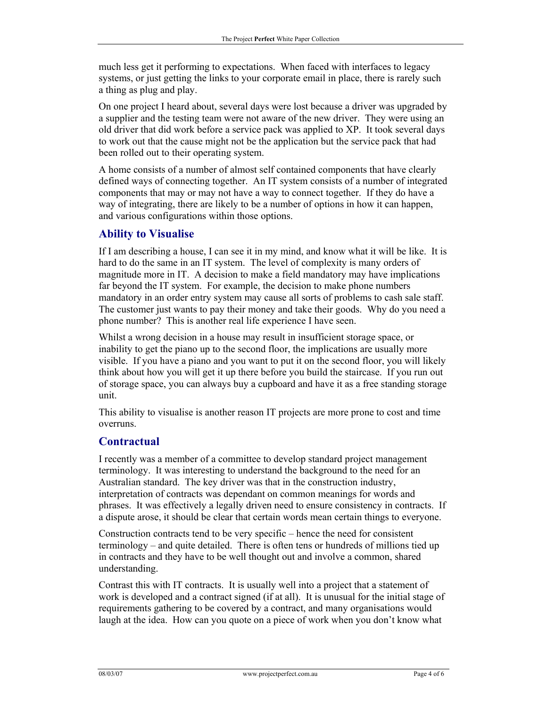much less get it performing to expectations. When faced with interfaces to legacy systems, or just getting the links to your corporate email in place, there is rarely such a thing as plug and play.

On one project I heard about, several days were lost because a driver was upgraded by a supplier and the testing team were not aware of the new driver. They were using an old driver that did work before a service pack was applied to XP. It took several days to work out that the cause might not be the application but the service pack that had been rolled out to their operating system.

A home consists of a number of almost self contained components that have clearly defined ways of connecting together. An IT system consists of a number of integrated components that may or may not have a way to connect together. If they do have a way of integrating, there are likely to be a number of options in how it can happen, and various configurations within those options.

## **Ability to Visualise**

If I am describing a house, I can see it in my mind, and know what it will be like. It is hard to do the same in an IT system. The level of complexity is many orders of magnitude more in IT. A decision to make a field mandatory may have implications far beyond the IT system. For example, the decision to make phone numbers mandatory in an order entry system may cause all sorts of problems to cash sale staff. The customer just wants to pay their money and take their goods. Why do you need a phone number? This is another real life experience I have seen.

Whilst a wrong decision in a house may result in insufficient storage space, or inability to get the piano up to the second floor, the implications are usually more visible. If you have a piano and you want to put it on the second floor, you will likely think about how you will get it up there before you build the staircase. If you run out of storage space, you can always buy a cupboard and have it as a free standing storage unit.

This ability to visualise is another reason IT projects are more prone to cost and time overruns.

## **Contractual**

I recently was a member of a committee to develop standard project management terminology. It was interesting to understand the background to the need for an Australian standard. The key driver was that in the construction industry, interpretation of contracts was dependant on common meanings for words and phrases. It was effectively a legally driven need to ensure consistency in contracts. If a dispute arose, it should be clear that certain words mean certain things to everyone.

Construction contracts tend to be very specific – hence the need for consistent terminology – and quite detailed. There is often tens or hundreds of millions tied up in contracts and they have to be well thought out and involve a common, shared understanding.

Contrast this with IT contracts. It is usually well into a project that a statement of work is developed and a contract signed (if at all). It is unusual for the initial stage of requirements gathering to be covered by a contract, and many organisations would laugh at the idea. How can you quote on a piece of work when you don't know what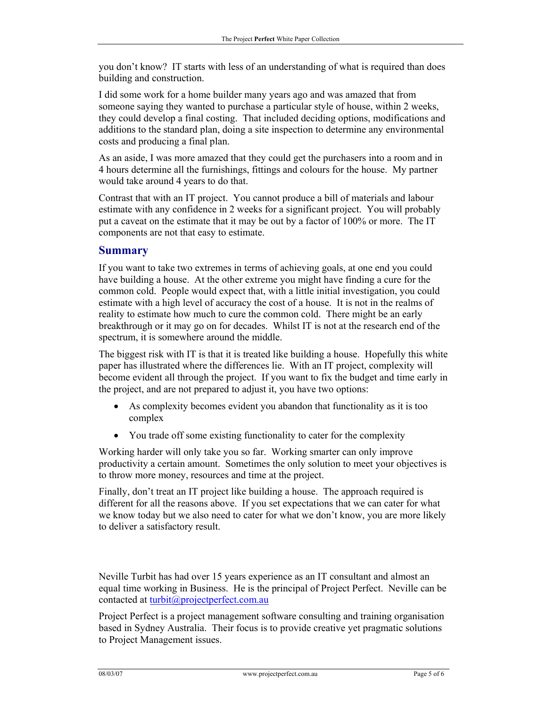you don't know? IT starts with less of an understanding of what is required than does building and construction.

I did some work for a home builder many years ago and was amazed that from someone saying they wanted to purchase a particular style of house, within 2 weeks, they could develop a final costing. That included deciding options, modifications and additions to the standard plan, doing a site inspection to determine any environmental costs and producing a final plan.

As an aside, I was more amazed that they could get the purchasers into a room and in 4 hours determine all the furnishings, fittings and colours for the house. My partner would take around 4 years to do that.

Contrast that with an IT project. You cannot produce a bill of materials and labour estimate with any confidence in 2 weeks for a significant project. You will probably put a caveat on the estimate that it may be out by a factor of 100% or more. The IT components are not that easy to estimate.

#### **Summary**

If you want to take two extremes in terms of achieving goals, at one end you could have building a house. At the other extreme you might have finding a cure for the common cold. People would expect that, with a little initial investigation, you could estimate with a high level of accuracy the cost of a house. It is not in the realms of reality to estimate how much to cure the common cold. There might be an early breakthrough or it may go on for decades. Whilst IT is not at the research end of the spectrum, it is somewhere around the middle.

The biggest risk with IT is that it is treated like building a house. Hopefully this white paper has illustrated where the differences lie. With an IT project, complexity will become evident all through the project. If you want to fix the budget and time early in the project, and are not prepared to adjust it, you have two options:

- As complexity becomes evident you abandon that functionality as it is too complex
- You trade off some existing functionality to cater for the complexity

Working harder will only take you so far. Working smarter can only improve productivity a certain amount. Sometimes the only solution to meet your objectives is to throw more money, resources and time at the project.

Finally, don't treat an IT project like building a house. The approach required is different for all the reasons above. If you set expectations that we can cater for what we know today but we also need to cater for what we don't know, you are more likely to deliver a satisfactory result.

Neville Turbit has had over 15 years experience as an IT consultant and almost an equal time working in Business. He is the principal of Project Perfect. Neville can be contacted at turbit@projectperfect.com.au

Project Perfect is a project management software consulting and training organisation based in Sydney Australia. Their focus is to provide creative yet pragmatic solutions to Project Management issues.